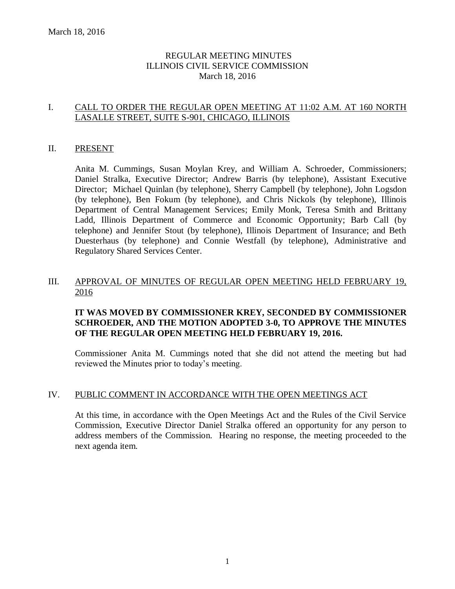# REGULAR MEETING MINUTES ILLINOIS CIVIL SERVICE COMMISSION March 18, 2016

# I. CALL TO ORDER THE REGULAR OPEN MEETING AT 11:02 A.M. AT 160 NORTH LASALLE STREET, SUITE S-901, CHICAGO, ILLINOIS

# II. PRESENT

Anita M. Cummings, Susan Moylan Krey, and William A. Schroeder, Commissioners; Daniel Stralka, Executive Director; Andrew Barris (by telephone), Assistant Executive Director; Michael Quinlan (by telephone), Sherry Campbell (by telephone), John Logsdon (by telephone), Ben Fokum (by telephone), and Chris Nickols (by telephone), Illinois Department of Central Management Services; Emily Monk, Teresa Smith and Brittany Ladd, Illinois Department of Commerce and Economic Opportunity; Barb Call (by telephone) and Jennifer Stout (by telephone), Illinois Department of Insurance; and Beth Duesterhaus (by telephone) and Connie Westfall (by telephone), Administrative and Regulatory Shared Services Center.

# III. APPROVAL OF MINUTES OF REGULAR OPEN MEETING HELD FEBRUARY 19, 2016

# **IT WAS MOVED BY COMMISSIONER KREY, SECONDED BY COMMISSIONER SCHROEDER, AND THE MOTION ADOPTED 3-0, TO APPROVE THE MINUTES OF THE REGULAR OPEN MEETING HELD FEBRUARY 19, 2016.**

Commissioner Anita M. Cummings noted that she did not attend the meeting but had reviewed the Minutes prior to today's meeting.

#### IV. PUBLIC COMMENT IN ACCORDANCE WITH THE OPEN MEETINGS ACT

At this time, in accordance with the Open Meetings Act and the Rules of the Civil Service Commission, Executive Director Daniel Stralka offered an opportunity for any person to address members of the Commission. Hearing no response, the meeting proceeded to the next agenda item.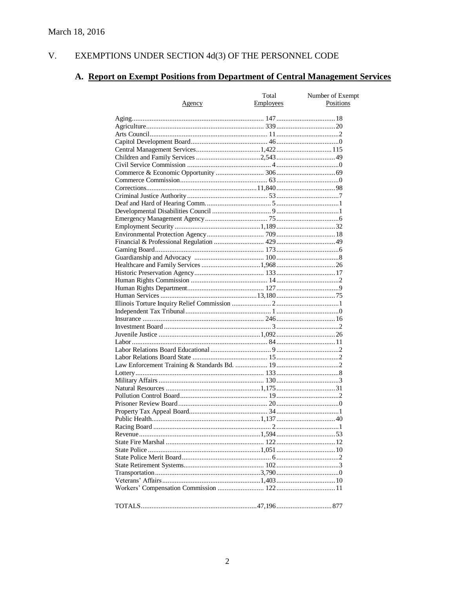#### $V<sub>r</sub>$ EXEMPTIONS UNDER SECTION 4d(3) OF THE PERSONNEL CODE

# A. Report on Exempt Positions from Department of Central Management Services

|               | Total            | Number of Exempt |
|---------------|------------------|------------------|
| <u>Agency</u> | <b>Employees</b> | Positions        |
|               |                  |                  |
|               |                  |                  |
|               |                  |                  |
|               |                  |                  |
|               |                  |                  |
|               |                  |                  |
|               |                  |                  |
|               |                  |                  |
|               |                  |                  |
|               |                  |                  |
|               |                  |                  |
|               |                  |                  |
|               |                  |                  |
|               |                  |                  |
|               |                  |                  |
|               |                  |                  |
|               |                  |                  |
|               |                  |                  |
|               |                  |                  |
|               |                  |                  |
|               |                  |                  |
|               |                  |                  |
|               |                  |                  |
|               |                  |                  |
|               |                  |                  |
|               |                  |                  |
|               |                  |                  |
|               |                  |                  |
|               |                  |                  |
|               |                  |                  |
|               |                  |                  |
|               |                  |                  |
|               |                  |                  |
|               |                  |                  |
|               |                  |                  |
|               |                  |                  |
|               |                  |                  |
|               |                  |                  |
|               |                  |                  |
|               |                  |                  |
|               |                  |                  |
|               |                  |                  |
|               |                  |                  |
|               |                  |                  |
|               |                  |                  |
|               |                  |                  |
|               |                  |                  |
|               |                  |                  |
|               |                  |                  |
|               |                  |                  |
|               |                  |                  |
|               |                  |                  |
|               |                  |                  |
|               |                  |                  |
|               |                  |                  |
|               |                  |                  |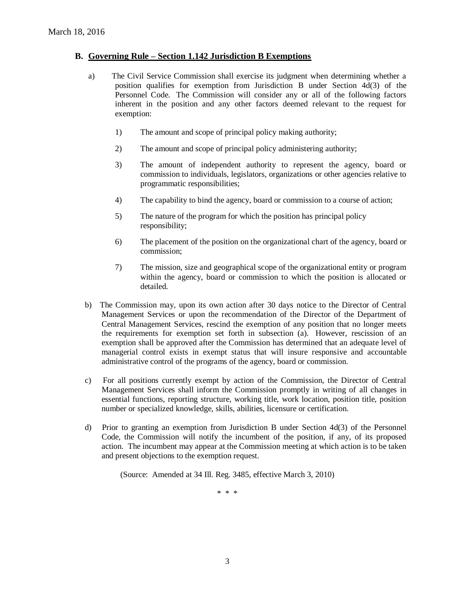#### **B. Governing Rule – Section 1.142 Jurisdiction B Exemptions**

- a) The Civil Service Commission shall exercise its judgment when determining whether a position qualifies for exemption from Jurisdiction B under Section 4d(3) of the Personnel Code. The Commission will consider any or all of the following factors inherent in the position and any other factors deemed relevant to the request for exemption:
	- 1) The amount and scope of principal policy making authority;
	- 2) The amount and scope of principal policy administering authority;
	- 3) The amount of independent authority to represent the agency, board or commission to individuals, legislators, organizations or other agencies relative to programmatic responsibilities;
	- 4) The capability to bind the agency, board or commission to a course of action;
	- 5) The nature of the program for which the position has principal policy responsibility;
	- 6) The placement of the position on the organizational chart of the agency, board or commission;
	- 7) The mission, size and geographical scope of the organizational entity or program within the agency, board or commission to which the position is allocated or detailed.
- b) The Commission may, upon its own action after 30 days notice to the Director of Central Management Services or upon the recommendation of the Director of the Department of Central Management Services, rescind the exemption of any position that no longer meets the requirements for exemption set forth in subsection (a). However, rescission of an exemption shall be approved after the Commission has determined that an adequate level of managerial control exists in exempt status that will insure responsive and accountable administrative control of the programs of the agency, board or commission.
- c) For all positions currently exempt by action of the Commission, the Director of Central Management Services shall inform the Commission promptly in writing of all changes in essential functions, reporting structure, working title, work location, position title, position number or specialized knowledge, skills, abilities, licensure or certification.
- d) Prior to granting an exemption from Jurisdiction B under Section 4d(3) of the Personnel Code, the Commission will notify the incumbent of the position, if any, of its proposed action. The incumbent may appear at the Commission meeting at which action is to be taken and present objections to the exemption request.

(Source: Amended at 34 Ill. Reg. 3485, effective March 3, 2010)

\* \* \*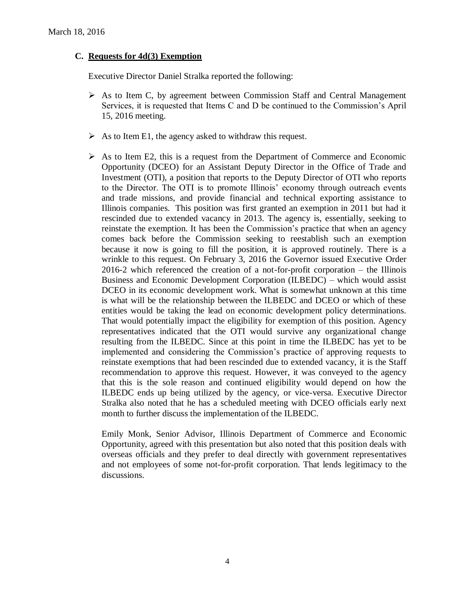# **C. Requests for 4d(3) Exemption**

Executive Director Daniel Stralka reported the following:

- $\triangleright$  As to Item C, by agreement between Commission Staff and Central Management Services, it is requested that Items C and D be continued to the Commission's April 15, 2016 meeting.
- $\triangleright$  As to Item E1, the agency asked to withdraw this request.
- $\triangleright$  As to Item E2, this is a request from the Department of Commerce and Economic Opportunity (DCEO) for an Assistant Deputy Director in the Office of Trade and Investment (OTI), a position that reports to the Deputy Director of OTI who reports to the Director. The OTI is to promote Illinois' economy through outreach events and trade missions, and provide financial and technical exporting assistance to Illinois companies. This position was first granted an exemption in 2011 but had it rescinded due to extended vacancy in 2013. The agency is, essentially, seeking to reinstate the exemption. It has been the Commission's practice that when an agency comes back before the Commission seeking to reestablish such an exemption because it now is going to fill the position, it is approved routinely. There is a wrinkle to this request. On February 3, 2016 the Governor issued Executive Order 2016-2 which referenced the creation of a not-for-profit corporation – the Illinois Business and Economic Development Corporation (ILBEDC) – which would assist DCEO in its economic development work. What is somewhat unknown at this time is what will be the relationship between the ILBEDC and DCEO or which of these entities would be taking the lead on economic development policy determinations. That would potentially impact the eligibility for exemption of this position. Agency representatives indicated that the OTI would survive any organizational change resulting from the ILBEDC. Since at this point in time the ILBEDC has yet to be implemented and considering the Commission's practice of approving requests to reinstate exemptions that had been rescinded due to extended vacancy, it is the Staff recommendation to approve this request. However, it was conveyed to the agency that this is the sole reason and continued eligibility would depend on how the ILBEDC ends up being utilized by the agency, or vice-versa. Executive Director Stralka also noted that he has a scheduled meeting with DCEO officials early next month to further discuss the implementation of the ILBEDC.

Emily Monk, Senior Advisor, Illinois Department of Commerce and Economic Opportunity, agreed with this presentation but also noted that this position deals with overseas officials and they prefer to deal directly with government representatives and not employees of some not-for-profit corporation. That lends legitimacy to the discussions.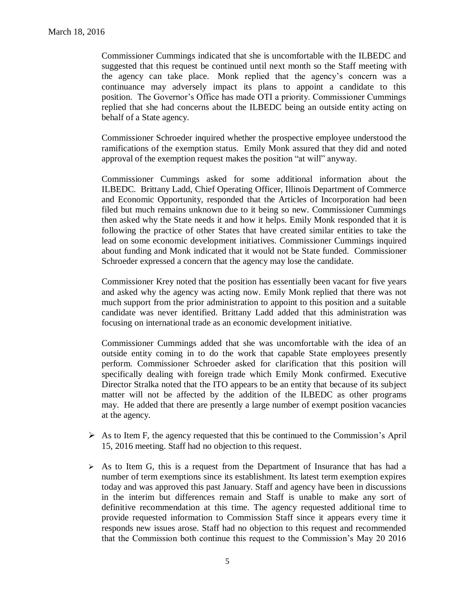Commissioner Cummings indicated that she is uncomfortable with the ILBEDC and suggested that this request be continued until next month so the Staff meeting with the agency can take place. Monk replied that the agency's concern was a continuance may adversely impact its plans to appoint a candidate to this position. The Governor's Office has made OTI a priority. Commissioner Cummings replied that she had concerns about the ILBEDC being an outside entity acting on behalf of a State agency.

Commissioner Schroeder inquired whether the prospective employee understood the ramifications of the exemption status. Emily Monk assured that they did and noted approval of the exemption request makes the position "at will" anyway.

Commissioner Cummings asked for some additional information about the ILBEDC. Brittany Ladd, Chief Operating Officer, Illinois Department of Commerce and Economic Opportunity, responded that the Articles of Incorporation had been filed but much remains unknown due to it being so new. Commissioner Cummings then asked why the State needs it and how it helps. Emily Monk responded that it is following the practice of other States that have created similar entities to take the lead on some economic development initiatives. Commissioner Cummings inquired about funding and Monk indicated that it would not be State funded. Commissioner Schroeder expressed a concern that the agency may lose the candidate.

Commissioner Krey noted that the position has essentially been vacant for five years and asked why the agency was acting now. Emily Monk replied that there was not much support from the prior administration to appoint to this position and a suitable candidate was never identified. Brittany Ladd added that this administration was focusing on international trade as an economic development initiative.

Commissioner Cummings added that she was uncomfortable with the idea of an outside entity coming in to do the work that capable State employees presently perform. Commissioner Schroeder asked for clarification that this position will specifically dealing with foreign trade which Emily Monk confirmed. Executive Director Stralka noted that the ITO appears to be an entity that because of its subject matter will not be affected by the addition of the ILBEDC as other programs may. He added that there are presently a large number of exempt position vacancies at the agency.

- $\triangleright$  As to Item F, the agency requested that this be continued to the Commission's April 15, 2016 meeting. Staff had no objection to this request.
- $\triangleright$  As to Item G, this is a request from the Department of Insurance that has had a number of term exemptions since its establishment. Its latest term exemption expires today and was approved this past January. Staff and agency have been in discussions in the interim but differences remain and Staff is unable to make any sort of definitive recommendation at this time. The agency requested additional time to provide requested information to Commission Staff since it appears every time it responds new issues arose. Staff had no objection to this request and recommended that the Commission both continue this request to the Commission's May 20 2016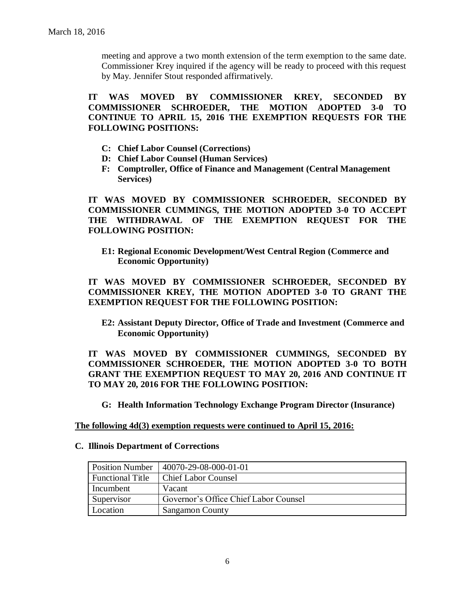meeting and approve a two month extension of the term exemption to the same date. Commissioner Krey inquired if the agency will be ready to proceed with this request by May. Jennifer Stout responded affirmatively.

**IT WAS MOVED BY COMMISSIONER KREY, SECONDED BY COMMISSIONER SCHROEDER, THE MOTION ADOPTED 3-0 TO CONTINUE TO APRIL 15, 2016 THE EXEMPTION REQUESTS FOR THE FOLLOWING POSITIONS:**

- **C: Chief Labor Counsel (Corrections)**
- **D: Chief Labor Counsel (Human Services)**
- **F: Comptroller, Office of Finance and Management (Central Management Services)**

**IT WAS MOVED BY COMMISSIONER SCHROEDER, SECONDED BY COMMISSIONER CUMMINGS, THE MOTION ADOPTED 3-0 TO ACCEPT THE WITHDRAWAL OF THE EXEMPTION REQUEST FOR THE FOLLOWING POSITION:**

**E1: Regional Economic Development/West Central Region (Commerce and Economic Opportunity)**

**IT WAS MOVED BY COMMISSIONER SCHROEDER, SECONDED BY COMMISSIONER KREY, THE MOTION ADOPTED 3-0 TO GRANT THE EXEMPTION REQUEST FOR THE FOLLOWING POSITION:**

**E2: Assistant Deputy Director, Office of Trade and Investment (Commerce and Economic Opportunity)**

**IT WAS MOVED BY COMMISSIONER CUMMINGS, SECONDED BY COMMISSIONER SCHROEDER, THE MOTION ADOPTED 3-0 TO BOTH GRANT THE EXEMPTION REQUEST TO MAY 20, 2016 AND CONTINUE IT TO MAY 20, 2016 FOR THE FOLLOWING POSITION:**

**G: Health Information Technology Exchange Program Director (Insurance)**

**The following 4d(3) exemption requests were continued to April 15, 2016:**

#### **C. Illinois Department of Corrections**

| <b>Position Number</b>  | 40070-29-08-000-01-01                 |
|-------------------------|---------------------------------------|
| <b>Functional Title</b> | <b>Chief Labor Counsel</b>            |
| Incumbent               | Vacant                                |
| Supervisor              | Governor's Office Chief Labor Counsel |
| Location                | <b>Sangamon County</b>                |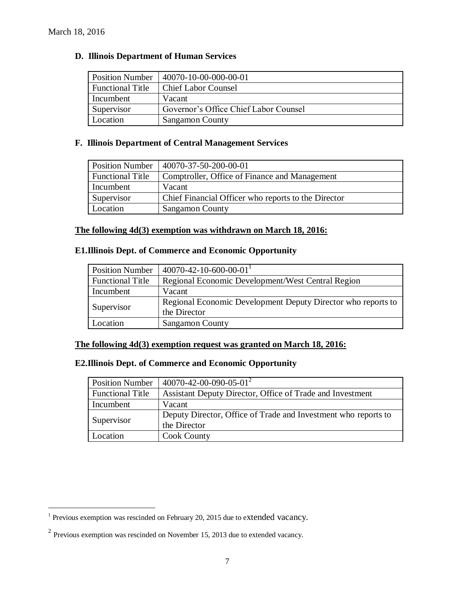$\overline{a}$ 

#### **D. Illinois Department of Human Services**

| <b>Position Number</b>  | 40070-10-00-000-00-01                 |
|-------------------------|---------------------------------------|
| <b>Functional Title</b> | <b>Chief Labor Counsel</b>            |
| Incumbent               | Vacant                                |
| Supervisor              | Governor's Office Chief Labor Counsel |
| Location                | Sangamon County                       |

# **F. Illinois Department of Central Management Services**

| <b>Position Number</b>  | 40070-37-50-200-00-01                               |
|-------------------------|-----------------------------------------------------|
| <b>Functional Title</b> | Comptroller, Office of Finance and Management       |
| Incumbent               | Vacant                                              |
| Supervisor              | Chief Financial Officer who reports to the Director |
| Location                | <b>Sangamon County</b>                              |

# **The following 4d(3) exemption was withdrawn on March 18, 2016:**

# **E1.Illinois Dept. of Commerce and Economic Opportunity**

| <b>Position Number</b>  | $40070 - 42 - 10 - 600 - 00 - 01$                            |
|-------------------------|--------------------------------------------------------------|
| <b>Functional Title</b> | Regional Economic Development/West Central Region            |
| Incumbent               | Vacant                                                       |
|                         | Regional Economic Development Deputy Director who reports to |
| Supervisor              | the Director                                                 |
| Location                | <b>Sangamon County</b>                                       |

#### **The following 4d(3) exemption request was granted on March 18, 2016:**

# **E2.Illinois Dept. of Commerce and Economic Opportunity**

| <b>Position Number</b>  | $140070 - 42 - 00 - 090 - 05 - 01^2$                           |
|-------------------------|----------------------------------------------------------------|
| <b>Functional Title</b> | Assistant Deputy Director, Office of Trade and Investment      |
| Incumbent               | Vacant                                                         |
|                         | Deputy Director, Office of Trade and Investment who reports to |
| Supervisor              | the Director                                                   |
| Location                | <b>Cook County</b>                                             |

<sup>&</sup>lt;sup>1</sup> Previous exemption was rescinded on February 20, 2015 due to extended vacancy.

 $2$  Previous exemption was rescinded on November 15, 2013 due to extended vacancy.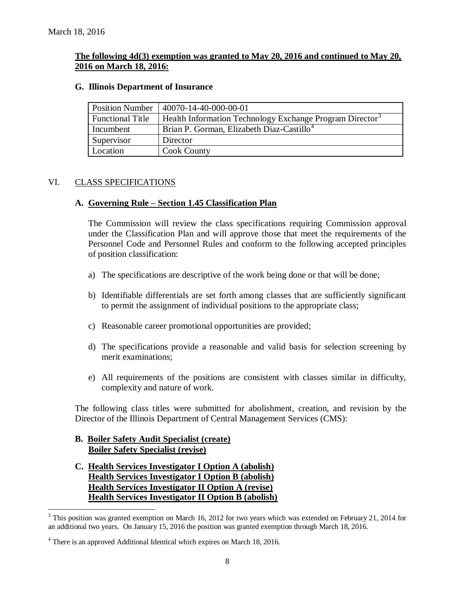# **The following 4d(3) exemption was granted to May 20, 2016 and continued to May 20, 2016 on March 18, 2016:**

#### **G. Illinois Department of Insurance**

| <b>Position Number</b>  | 40070-14-40-000-00-01                                                |
|-------------------------|----------------------------------------------------------------------|
| <b>Functional Title</b> | Health Information Technology Exchange Program Director <sup>3</sup> |
| Incumbent               | Brian P. Gorman, Elizabeth Diaz-Castillo <sup>4</sup>                |
| Supervisor              | Director                                                             |
| Location                | <b>Cook County</b>                                                   |

# VI. CLASS SPECIFICATIONS

# **A. Governing Rule – Section 1.45 Classification Plan**

The Commission will review the class specifications requiring Commission approval under the Classification Plan and will approve those that meet the requirements of the Personnel Code and Personnel Rules and conform to the following accepted principles of position classification:

- a) The specifications are descriptive of the work being done or that will be done;
- b) Identifiable differentials are set forth among classes that are sufficiently significant to permit the assignment of individual positions to the appropriate class;
- c) Reasonable career promotional opportunities are provided;
- d) The specifications provide a reasonable and valid basis for selection screening by merit examinations;
- e) All requirements of the positions are consistent with classes similar in difficulty, complexity and nature of work.

The following class titles were submitted for abolishment, creation, and revision by the Director of the Illinois Department of Central Management Services (CMS):

# **B. Boiler Safety Audit Specialist (create) Boiler Safety Specialist (revise)**

 $\overline{a}$ 

**C. Health Services Investigator I Option A (abolish) Health Services Investigator I Option B (abolish) Health Services Investigator II Option A (revise) Health Services Investigator II Option B (abolish)**

 $3$  This position was granted exemption on March 16, 2012 for two years which was extended on February 21, 2014 for an additional two years. On January 15, 2016 the position was granted exemption through March 18, 2016.

<sup>4</sup> There is an approved Additional Identical which expires on March 18, 2016.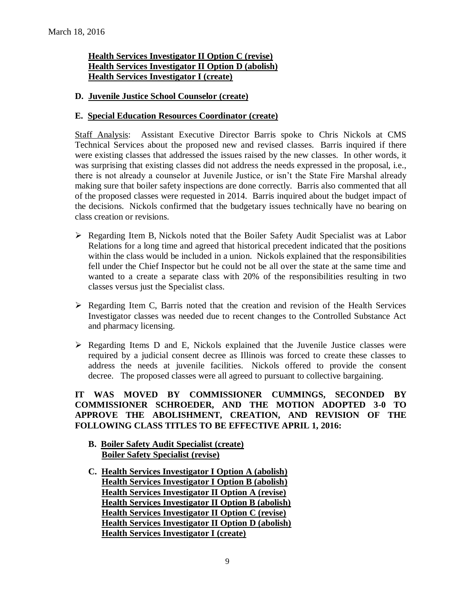# **Health Services Investigator II Option C (revise) Health Services Investigator II Option D (abolish) Health Services Investigator I (create)**

# **D. Juvenile Justice School Counselor (create)**

# **E. Special Education Resources Coordinator (create)**

Staff Analysis: Assistant Executive Director Barris spoke to Chris Nickols at CMS Technical Services about the proposed new and revised classes. Barris inquired if there were existing classes that addressed the issues raised by the new classes. In other words, it was surprising that existing classes did not address the needs expressed in the proposal, i.e., there is not already a counselor at Juvenile Justice, or isn't the State Fire Marshal already making sure that boiler safety inspections are done correctly. Barris also commented that all of the proposed classes were requested in 2014. Barris inquired about the budget impact of the decisions. Nickols confirmed that the budgetary issues technically have no bearing on class creation or revisions.

- Regarding Item B, Nickols noted that the Boiler Safety Audit Specialist was at Labor Relations for a long time and agreed that historical precedent indicated that the positions within the class would be included in a union. Nickols explained that the responsibilities fell under the Chief Inspector but he could not be all over the state at the same time and wanted to a create a separate class with 20% of the responsibilities resulting in two classes versus just the Specialist class.
- $\triangleright$  Regarding Item C, Barris noted that the creation and revision of the Health Services Investigator classes was needed due to recent changes to the Controlled Substance Act and pharmacy licensing.
- $\triangleright$  Regarding Items D and E, Nickols explained that the Juvenile Justice classes were required by a judicial consent decree as Illinois was forced to create these classes to address the needs at juvenile facilities. Nickols offered to provide the consent decree. The proposed classes were all agreed to pursuant to collective bargaining.

# **IT WAS MOVED BY COMMISSIONER CUMMINGS, SECONDED BY COMMISSIONER SCHROEDER, AND THE MOTION ADOPTED 3-0 TO APPROVE THE ABOLISHMENT, CREATION, AND REVISION OF THE FOLLOWING CLASS TITLES TO BE EFFECTIVE APRIL 1, 2016:**

- **B. Boiler Safety Audit Specialist (create) Boiler Safety Specialist (revise)**
- **C. Health Services Investigator I Option A (abolish) Health Services Investigator I Option B (abolish) Health Services Investigator II Option A (revise) Health Services Investigator II Option B (abolish) Health Services Investigator II Option C (revise) Health Services Investigator II Option D (abolish) Health Services Investigator I (create)**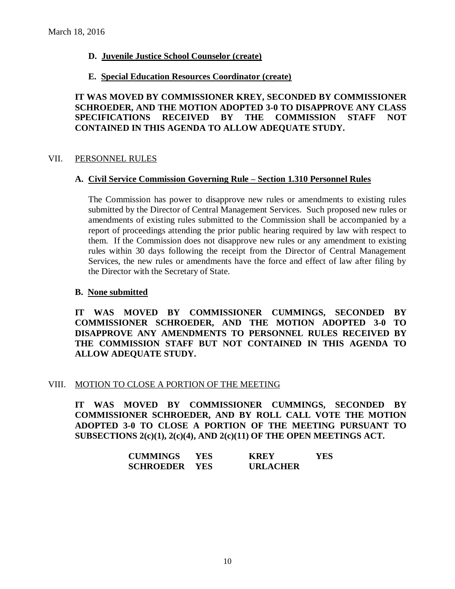# **D. Juvenile Justice School Counselor (create)**

#### **E. Special Education Resources Coordinator (create)**

**IT WAS MOVED BY COMMISSIONER KREY, SECONDED BY COMMISSIONER SCHROEDER, AND THE MOTION ADOPTED 3-0 TO DISAPPROVE ANY CLASS SPECIFICATIONS RECEIVED BY THE COMMISSION STAFF NOT CONTAINED IN THIS AGENDA TO ALLOW ADEQUATE STUDY.** 

#### VII. PERSONNEL RULES

#### **A. Civil Service Commission Governing Rule – Section 1.310 Personnel Rules**

The Commission has power to disapprove new rules or amendments to existing rules submitted by the Director of Central Management Services. Such proposed new rules or amendments of existing rules submitted to the Commission shall be accompanied by a report of proceedings attending the prior public hearing required by law with respect to them. If the Commission does not disapprove new rules or any amendment to existing rules within 30 days following the receipt from the Director of Central Management Services, the new rules or amendments have the force and effect of law after filing by the Director with the Secretary of State.

# **B. None submitted**

**IT WAS MOVED BY COMMISSIONER CUMMINGS, SECONDED BY COMMISSIONER SCHROEDER, AND THE MOTION ADOPTED 3-0 TO DISAPPROVE ANY AMENDMENTS TO PERSONNEL RULES RECEIVED BY THE COMMISSION STAFF BUT NOT CONTAINED IN THIS AGENDA TO ALLOW ADEQUATE STUDY.** 

#### VIII. MOTION TO CLOSE A PORTION OF THE MEETING

**IT WAS MOVED BY COMMISSIONER CUMMINGS, SECONDED BY COMMISSIONER SCHROEDER, AND BY ROLL CALL VOTE THE MOTION ADOPTED 3-0 TO CLOSE A PORTION OF THE MEETING PURSUANT TO SUBSECTIONS 2(c)(1), 2(c)(4), AND 2(c)(11) OF THE OPEN MEETINGS ACT.**

| <b>CUMMINGS</b>      | YES. | <b>KREY</b>     | YES |
|----------------------|------|-----------------|-----|
| <b>SCHROEDER YES</b> |      | <b>URLACHER</b> |     |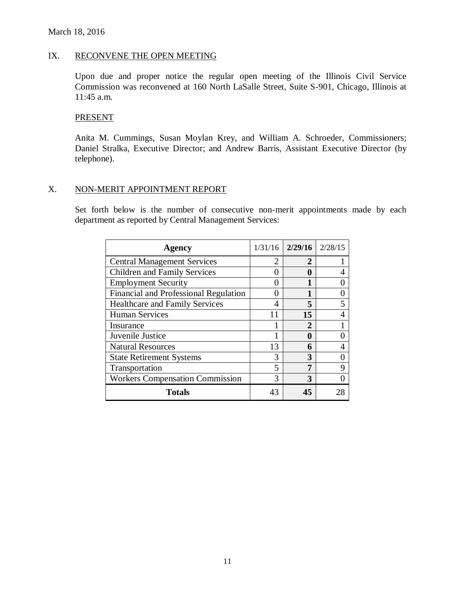#### IX. RECONVENE THE OPEN MEETING

Upon due and proper notice the regular open meeting of the Illinois Civil Service Commission was reconvened at 160 North LaSalle Street, Suite S-901, Chicago, Illinois at 11:45 a.m.

#### **PRESENT**

Anita M. Cummings, Susan Moylan Krey, and William A. Schroeder, Commissioners; Daniel Stralka, Executive Director; and Andrew Barris, Assistant Executive Director (by telephone).

#### X. NON-MERIT APPOINTMENT REPORT

Set forth below is the number of consecutive non-merit appointments made by each department as reported by Central Management Services:

| Agency                                 | 1/31/16                     | 2/29/16     | 2/28/15 |
|----------------------------------------|-----------------------------|-------------|---------|
| <b>Central Management Services</b>     | $\mathcal{D}_{\mathcal{L}}$ | 2           |         |
| <b>Children and Family Services</b>    | 0                           | $\mathbf 0$ |         |
| <b>Employment Security</b>             | 0                           |             |         |
| Financial and Professional Regulation  | 0                           |             |         |
| <b>Healthcare and Family Services</b>  | 4                           | 5           |         |
| <b>Human Services</b>                  | 11                          | 15          |         |
| Insurance                              |                             | 2           |         |
| Juvenile Justice                       | 1                           | 0           |         |
| <b>Natural Resources</b>               | 13                          | 6           |         |
| <b>State Retirement Systems</b>        | 3                           | 3           |         |
| Transportation                         | 5                           |             | Q       |
| <b>Workers Compensation Commission</b> | 3                           | 3           |         |
| <b>Totals</b>                          | 43                          | 45          |         |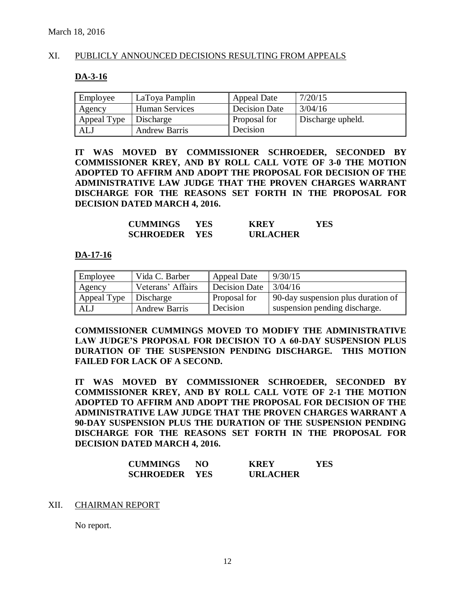# XI. PUBLICLY ANNOUNCED DECISIONS RESULTING FROM APPEALS

#### **DA-3-16**

| Employee    | LaToya Pamplin       | Appeal Date         | 7/20/15           |
|-------------|----------------------|---------------------|-------------------|
| Agency      | Human Services       | Decision Date       | 3/04/16           |
| Appeal Type | Discharge            | <b>Proposal for</b> | Discharge upheld. |
| <b>ALJ</b>  | <b>Andrew Barris</b> | <b>Decision</b>     |                   |

**IT WAS MOVED BY COMMISSIONER SCHROEDER, SECONDED BY COMMISSIONER KREY, AND BY ROLL CALL VOTE OF 3-0 THE MOTION ADOPTED TO AFFIRM AND ADOPT THE PROPOSAL FOR DECISION OF THE ADMINISTRATIVE LAW JUDGE THAT THE PROVEN CHARGES WARRANT DISCHARGE FOR THE REASONS SET FORTH IN THE PROPOSAL FOR DECISION DATED MARCH 4, 2016.**

| <b>CUMMINGS</b>  | YES | <b>KREY</b>     | YES |
|------------------|-----|-----------------|-----|
| <b>SCHROEDER</b> | YES | <b>URLACHER</b> |     |

#### **DA-17-16**

| Employee    | Vida C. Barber       | <b>Appeal Date</b> | 9/30/15                            |
|-------------|----------------------|--------------------|------------------------------------|
| Agency      | Veterans' Affairs    | Decision Date      | 3/04/16                            |
| Appeal Type | Discharge            | Proposal for       | 90-day suspension plus duration of |
| ALJ         | <b>Andrew Barris</b> | Decision           | suspension pending discharge.      |

**COMMISSIONER CUMMINGS MOVED TO MODIFY THE ADMINISTRATIVE LAW JUDGE'S PROPOSAL FOR DECISION TO A 60-DAY SUSPENSION PLUS DURATION OF THE SUSPENSION PENDING DISCHARGE. THIS MOTION FAILED FOR LACK OF A SECOND.**

**IT WAS MOVED BY COMMISSIONER SCHROEDER, SECONDED BY COMMISSIONER KREY, AND BY ROLL CALL VOTE OF 2-1 THE MOTION ADOPTED TO AFFIRM AND ADOPT THE PROPOSAL FOR DECISION OF THE ADMINISTRATIVE LAW JUDGE THAT THE PROVEN CHARGES WARRANT A 90-DAY SUSPENSION PLUS THE DURATION OF THE SUSPENSION PENDING DISCHARGE FOR THE REASONS SET FORTH IN THE PROPOSAL FOR DECISION DATED MARCH 4, 2016.**

| <b>CUMMINGS</b>      | NO | <b>KREY</b>     | YES |
|----------------------|----|-----------------|-----|
| <b>SCHROEDER YES</b> |    | <b>URLACHER</b> |     |

#### XII. CHAIRMAN REPORT

No report.